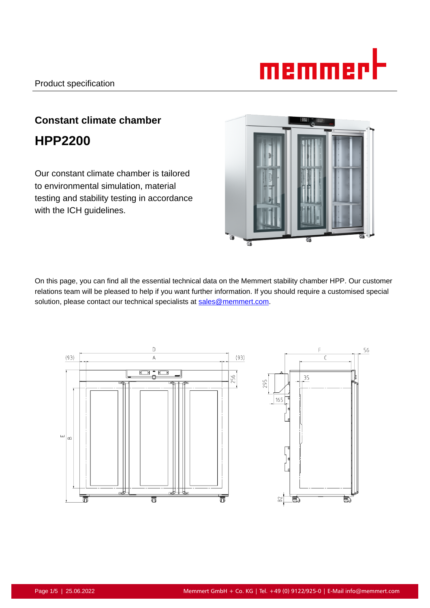

# **Constant climate chamber HPP2200**

Our constant climate chamber is tailored to environmental simulation, material testing and stability testing in accordance with the ICH guidelines.



On this page, you can find all the essential technical data on the Memmert stability chamber HPP. Our customer relations team will be pleased to help if you want further information. If you should require a customised special solution, please contact our technical specialists at sales@memmert.com.

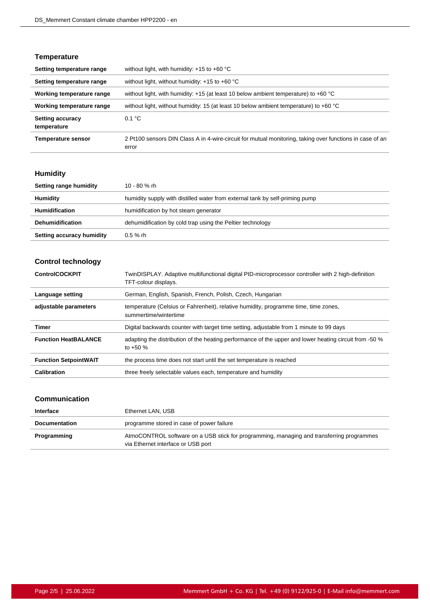# **Temperature**

| Setting temperature range              | without light, with humidity: $+15$ to $+60$ °C                                                                   |
|----------------------------------------|-------------------------------------------------------------------------------------------------------------------|
| Setting temperature range              | without light, without humidity: $+15$ to $+60$ °C                                                                |
| Working temperature range              | without light, with humidity: $+15$ (at least 10 below ambient temperature) to $+60$ °C                           |
| Working temperature range              | without light, without humidity: 15 (at least 10 below ambient temperature) to +60 °C                             |
| <b>Setting accuracy</b><br>temperature | 0.1 °C                                                                                                            |
| <b>Temperature sensor</b>              | 2 Pt100 sensors DIN Class A in 4-wire-circuit for mutual monitoring, taking over functions in case of an<br>error |

# **Humidity**

| Setting range humidity    | 10 - 80 % rh                                                                 |
|---------------------------|------------------------------------------------------------------------------|
| Humidity                  | humidity supply with distilled water from external tank by self-priming pump |
| <b>Humidification</b>     | humidification by hot steam generator                                        |
| <b>Dehumidification</b>   | dehumidification by cold trap using the Peltier technology                   |
| Setting accuracy humidity | $0.5 \%$ rh                                                                  |

# **Control technology**

| <b>ControlCOCKPIT</b>        | TwinDISPLAY. Adaptive multifunctional digital PID-microprocessor controller with 2 high-definition<br>TFT-colour displays. |
|------------------------------|----------------------------------------------------------------------------------------------------------------------------|
| Language setting             | German, English, Spanish, French, Polish, Czech, Hungarian                                                                 |
| adjustable parameters        | temperature (Celsius or Fahrenheit), relative humidity, programme time, time zones,<br>summertime/wintertime               |
| Timer                        | Digital backwards counter with target time setting, adjustable from 1 minute to 99 days                                    |
| <b>Function HeatBALANCE</b>  | adapting the distribution of the heating performance of the upper and lower heating circuit from -50 %<br>to $+50%$        |
| <b>Function SetpointWAIT</b> | the process time does not start until the set temperature is reached                                                       |
| Calibration                  | three freely selectable values each, temperature and humidity                                                              |

# **Communication**

| Interface            | Ethernet LAN, USB                                                                                                               |
|----------------------|---------------------------------------------------------------------------------------------------------------------------------|
| <b>Documentation</b> | programme stored in case of power failure                                                                                       |
| Programming          | AtmoCONTROL software on a USB stick for programming, managing and transferring programmes<br>via Ethernet interface or USB port |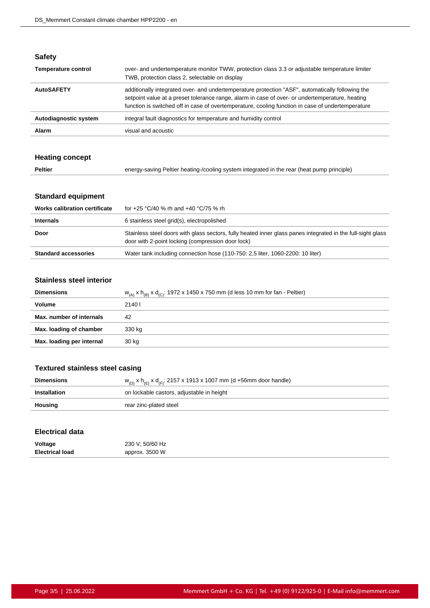| × | ٠<br>÷ | × |  |
|---|--------|---|--|
|   |        |   |  |

| <b>Temperature control</b> | over- and undertemperature monitor TWW, protection class 3.3 or adjustable temperature limiter<br>TWB, protection class 2, selectable on display                                                                                                                                                         |
|----------------------------|----------------------------------------------------------------------------------------------------------------------------------------------------------------------------------------------------------------------------------------------------------------------------------------------------------|
| <b>AutoSAFETY</b>          | additionally integrated over- and undertemperature protection "ASF", automatically following the<br>setpoint value at a preset tolerance range, alarm in case of over- or undertemperature, heating<br>function is switched off in case of overtemperature, cooling function in case of undertemperature |
| Autodiagnostic system      | integral fault diagnostics for temperature and humidity control                                                                                                                                                                                                                                          |
| Alarm                      | visual and acoustic                                                                                                                                                                                                                                                                                      |

# **Heating concept**

| <b>Peltier</b><br>energy-saving Peltier heating-/cooling system integrated in the rear (heat pump principle) |  |
|--------------------------------------------------------------------------------------------------------------|--|
|--------------------------------------------------------------------------------------------------------------|--|

# **Standard equipment**

| <b>Works calibration certificate</b> | for +25 °C/40 % rh and +40 °C/75 % rh                                                                                                                            |
|--------------------------------------|------------------------------------------------------------------------------------------------------------------------------------------------------------------|
| <b>Internals</b>                     | 6 stainless steel grid(s), electropolished                                                                                                                       |
| Door                                 | Stainless steel doors with glass sectors, fully heated inner glass panes integrated in the full-sight glass<br>door with 2-point locking (compression door lock) |
| <b>Standard accessories</b>          | Water tank including connection hose (110-750: 2.5 liter, 1060-2200: 10 liter)                                                                                   |
|                                      |                                                                                                                                                                  |

#### **Stainless steel interior**

| <b>Dimensions</b>         | $W_{(A)}$ x $h_{(B)}$ x $d_{(C)}$ : 1972 x 1450 x 750 mm (d less 10 mm for fan - Peltier) |
|---------------------------|-------------------------------------------------------------------------------------------|
| <b>Volume</b>             | 2140 l                                                                                    |
| Max. number of internals  | 42                                                                                        |
| Max. loading of chamber   | 330 kg                                                                                    |
| Max. loading per internal | 30 kg                                                                                     |

# **Textured stainless steel casing**

| <b>Dimensions</b> | $w_{(D)}$ x h <sub>(E)</sub> x d <sub>(F)</sub> : 2157 x 1913 x 1007 mm (d +56mm door handle) |
|-------------------|-----------------------------------------------------------------------------------------------|
| Installation      | on lockable castors, adjustable in height                                                     |
| Housing           | rear zinc-plated steel                                                                        |

#### **Electrical data**

| Voltage                | 230 V, 50/60 Hz |
|------------------------|-----------------|
| <b>Electrical load</b> | approx. 3500 W  |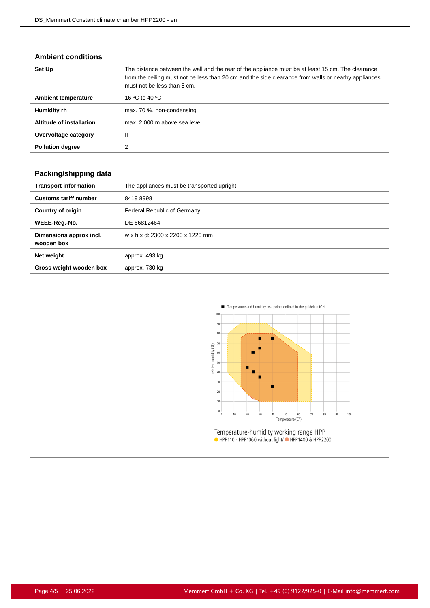### **Ambient conditions**

| Set Up                     | The distance between the wall and the rear of the appliance must be at least 15 cm. The clearance<br>from the ceiling must not be less than 20 cm and the side clearance from walls or nearby appliances<br>must not be less than 5 cm. |
|----------------------------|-----------------------------------------------------------------------------------------------------------------------------------------------------------------------------------------------------------------------------------------|
| <b>Ambient temperature</b> | 16 °C to 40 °C                                                                                                                                                                                                                          |
| Humidity rh                | max. 70 %, non-condensing                                                                                                                                                                                                               |
| Altitude of installation   | max. 2,000 m above sea level                                                                                                                                                                                                            |
| Overvoltage category       | Ш                                                                                                                                                                                                                                       |
| <b>Pollution degree</b>    |                                                                                                                                                                                                                                         |

# **Packing/shipping data**

| <b>Transport information</b>          | The appliances must be transported upright |
|---------------------------------------|--------------------------------------------|
| <b>Customs tariff number</b>          | 84198998                                   |
| <b>Country of origin</b>              | Federal Republic of Germany                |
| WEEE-Reg.-No.                         | DE 66812464                                |
| Dimensions approx incl.<br>wooden box | w x h x d: 2300 x 2200 x 1220 mm           |
| Net weight                            | approx. 493 kg                             |
| Gross weight wooden box               | approx. 730 kg                             |



Temperature-humidity working range HPP<br>• HPP110 - HPP1060 without light/• HPP1400 & HPP2200